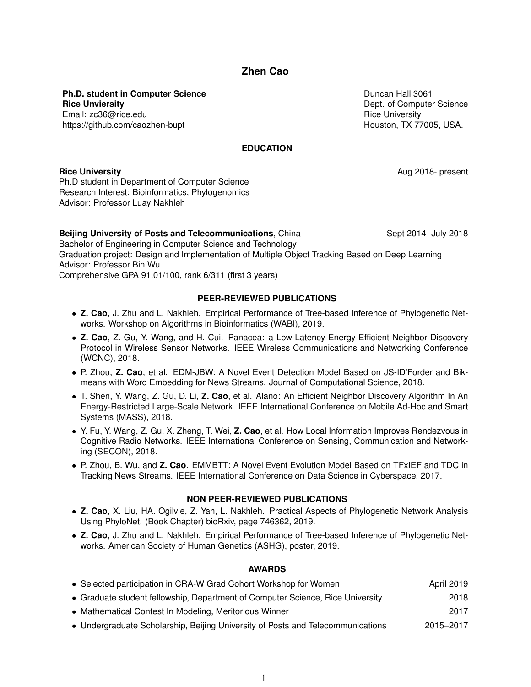# **Zhen Cao**

**Ph.D. student in Computer Science Rice Unviersity** Email: zc36@rice.edu https://github.com/caozhen-bupt

Duncan Hall 3061 Dept. of Computer Science Rice University Houston, TX 77005, USA.

**EDUCATION**

**Rice University Aug 2018- present** 

Ph.D student in Department of Computer Science Research Interest: Bioinformatics, Phylogenomics Advisor: Professor Luay Nakhleh

**Beijing University of Posts and Telecommunications**, China Sept 2014- July 2018 Bachelor of Engineering in Computer Science and Technology Graduation project: Design and Implementation of Multiple Object Tracking Based on Deep Learning Advisor: Professor Bin Wu Comprehensive GPA 91.01/100, rank 6/311 (first 3 years)

#### **PEER-REVIEWED PUBLICATIONS**

- **Z. Cao**, J. Zhu and L. Nakhleh. Empirical Performance of Tree-based Inference of Phylogenetic Networks. Workshop on Algorithms in Bioinformatics (WABI), 2019.
- **Z. Cao**, Z. Gu, Y. Wang, and H. Cui. Panacea: a Low-Latency Energy-Efficient Neighbor Discovery Protocol in Wireless Sensor Networks. IEEE Wireless Communications and Networking Conference (WCNC), 2018.
- P. Zhou, **Z. Cao**, et al. EDM-JBW: A Novel Event Detection Model Based on JS-ID'Forder and Bikmeans with Word Embedding for News Streams. Journal of Computational Science, 2018.
- T. Shen, Y. Wang, Z. Gu, D. Li, **Z. Cao**, et al. Alano: An Efficient Neighbor Discovery Algorithm In An Energy-Restricted Large-Scale Network. IEEE International Conference on Mobile Ad-Hoc and Smart Systems (MASS), 2018.
- Y. Fu, Y. Wang, Z. Gu, X. Zheng, T. Wei, **Z. Cao**, et al. How Local Information Improves Rendezvous in Cognitive Radio Networks. IEEE International Conference on Sensing, Communication and Networking (SECON), 2018.
- P. Zhou, B. Wu, and **Z. Cao**. EMMBTT: A Novel Event Evolution Model Based on TFxIEF and TDC in Tracking News Streams. IEEE International Conference on Data Science in Cyberspace, 2017.

#### **NON PEER-REVIEWED PUBLICATIONS**

- **Z. Cao**, X. Liu, HA. Ogilvie, Z. Yan, L. Nakhleh. Practical Aspects of Phylogenetic Network Analysis Using PhyloNet. (Book Chapter) bioRxiv, page 746362, 2019.
- **Z. Cao**, J. Zhu and L. Nakhleh. Empirical Performance of Tree-based Inference of Phylogenetic Networks. American Society of Human Genetics (ASHG), poster, 2019.

## **AWARDS**

| • Selected participation in CRA-W Grad Cohort Workshop for Women               | <b>April 2019</b> |
|--------------------------------------------------------------------------------|-------------------|
| • Graduate student fellowship, Department of Computer Science, Rice University | 2018              |
| • Mathematical Contest In Modeling, Meritorious Winner                         | 2017              |
| Inderaraduate Scholarshin, Beijing University of Posts and Telecommunications  | $2015 - 2017$     |

• Undergraduate Scholarship, Beijing University of Posts and Telecommunications 2015–2017